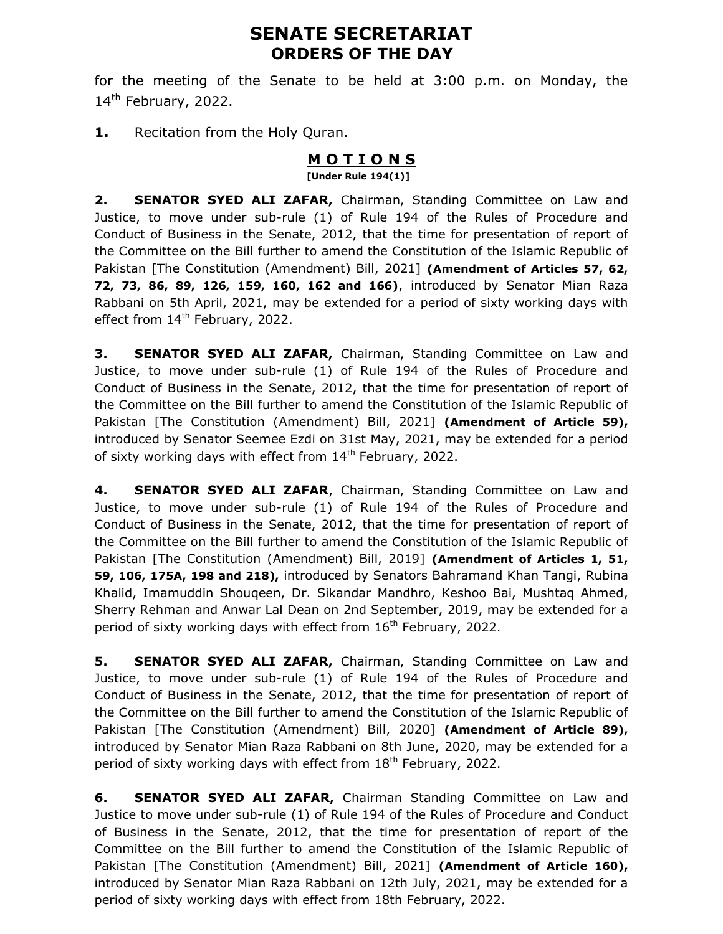# SENATE SECRETARIAT ORDERS OF THE DAY

for the meeting of the Senate to be held at 3:00 p.m. on Monday, the  $14<sup>th</sup>$  February, 2022.

1. Recitation from the Holy Quran.

## **MOTIONS**

[Under Rule 194(1)]

2. SENATOR SYED ALI ZAFAR, Chairman, Standing Committee on Law and Justice, to move under sub-rule (1) of Rule 194 of the Rules of Procedure and Conduct of Business in the Senate, 2012, that the time for presentation of report of the Committee on the Bill further to amend the Constitution of the Islamic Republic of Pakistan [The Constitution (Amendment) Bill, 2021] (Amendment of Articles 57, 62, 72, 73, 86, 89, 126, 159, 160, 162 and 166), introduced by Senator Mian Raza Rabbani on 5th April, 2021, may be extended for a period of sixty working days with effect from 14<sup>th</sup> February, 2022.

3. SENATOR SYED ALI ZAFAR, Chairman, Standing Committee on Law and Justice, to move under sub-rule (1) of Rule 194 of the Rules of Procedure and Conduct of Business in the Senate, 2012, that the time for presentation of report of the Committee on the Bill further to amend the Constitution of the Islamic Republic of Pakistan [The Constitution (Amendment) Bill, 2021] (Amendment of Article 59), introduced by Senator Seemee Ezdi on 31st May, 2021, may be extended for a period of sixty working days with effect from  $14<sup>th</sup>$  February, 2022.

4. **SENATOR SYED ALI ZAFAR,** Chairman, Standing Committee on Law and Justice, to move under sub-rule (1) of Rule 194 of the Rules of Procedure and Conduct of Business in the Senate, 2012, that the time for presentation of report of the Committee on the Bill further to amend the Constitution of the Islamic Republic of Pakistan [The Constitution (Amendment) Bill, 2019] (Amendment of Articles 1, 51, 59, 106, 175A, 198 and 218), introduced by Senators Bahramand Khan Tangi, Rubina Khalid, Imamuddin Shouqeen, Dr. Sikandar Mandhro, Keshoo Bai, Mushtaq Ahmed, Sherry Rehman and Anwar Lal Dean on 2nd September, 2019, may be extended for a period of sixty working days with effect from  $16<sup>th</sup>$  February, 2022.

5. SENATOR SYED ALI ZAFAR, Chairman, Standing Committee on Law and Justice, to move under sub-rule (1) of Rule 194 of the Rules of Procedure and Conduct of Business in the Senate, 2012, that the time for presentation of report of the Committee on the Bill further to amend the Constitution of the Islamic Republic of Pakistan [The Constitution (Amendment) Bill, 2020] (Amendment of Article 89), introduced by Senator Mian Raza Rabbani on 8th June, 2020, may be extended for a period of sixty working days with effect from 18<sup>th</sup> February, 2022.

**6. SENATOR SYED ALI ZAFAR,** Chairman Standing Committee on Law and Justice to move under sub-rule (1) of Rule 194 of the Rules of Procedure and Conduct of Business in the Senate, 2012, that the time for presentation of report of the Committee on the Bill further to amend the Constitution of the Islamic Republic of Pakistan [The Constitution (Amendment) Bill, 2021] (Amendment of Article 160), introduced by Senator Mian Raza Rabbani on 12th July, 2021, may be extended for a period of sixty working days with effect from 18th February, 2022.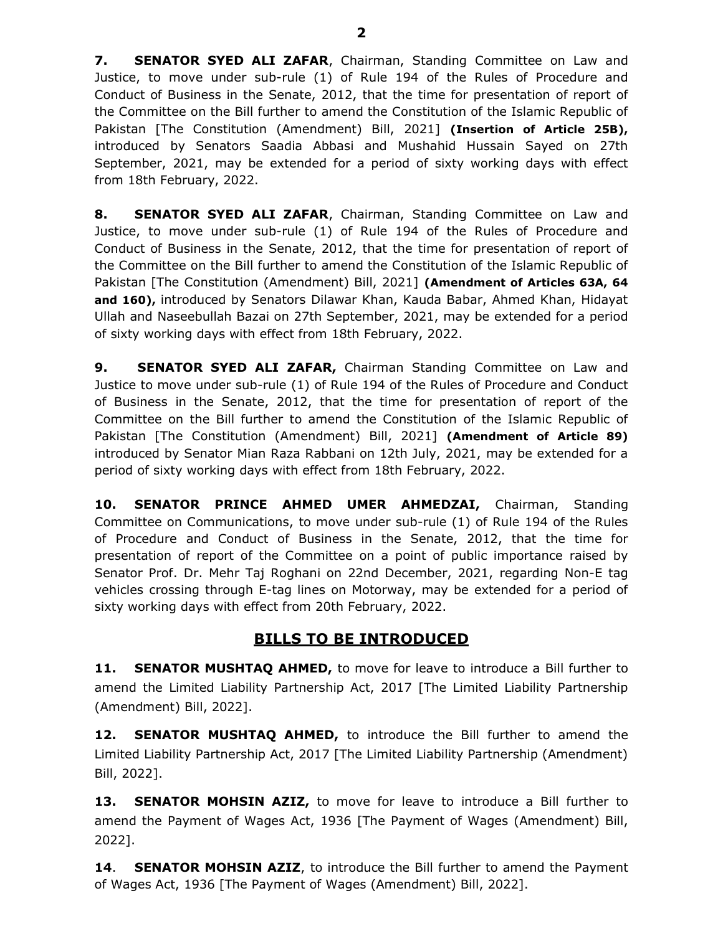7. SENATOR SYED ALI ZAFAR, Chairman, Standing Committee on Law and Justice, to move under sub-rule (1) of Rule 194 of the Rules of Procedure and Conduct of Business in the Senate, 2012, that the time for presentation of report of the Committee on the Bill further to amend the Constitution of the Islamic Republic of Pakistan [The Constitution (Amendment) Bill, 2021] (Insertion of Article 25B), introduced by Senators Saadia Abbasi and Mushahid Hussain Sayed on 27th September, 2021, may be extended for a period of sixty working days with effect from 18th February, 2022.

8. SENATOR SYED ALI ZAFAR, Chairman, Standing Committee on Law and Justice, to move under sub-rule (1) of Rule 194 of the Rules of Procedure and Conduct of Business in the Senate, 2012, that the time for presentation of report of the Committee on the Bill further to amend the Constitution of the Islamic Republic of Pakistan [The Constitution (Amendment) Bill, 2021] (Amendment of Articles 63A, 64 and 160), introduced by Senators Dilawar Khan, Kauda Babar, Ahmed Khan, Hidayat Ullah and Naseebullah Bazai on 27th September, 2021, may be extended for a period of sixty working days with effect from 18th February, 2022.

9. SENATOR SYED ALI ZAFAR, Chairman Standing Committee on Law and Justice to move under sub-rule (1) of Rule 194 of the Rules of Procedure and Conduct of Business in the Senate, 2012, that the time for presentation of report of the Committee on the Bill further to amend the Constitution of the Islamic Republic of Pakistan [The Constitution (Amendment) Bill, 2021] (Amendment of Article 89) introduced by Senator Mian Raza Rabbani on 12th July, 2021, may be extended for a period of sixty working days with effect from 18th February, 2022.

10. SENATOR PRINCE AHMED UMER AHMEDZAI, Chairman, Standing Committee on Communications, to move under sub-rule (1) of Rule 194 of the Rules of Procedure and Conduct of Business in the Senate, 2012, that the time for presentation of report of the Committee on a point of public importance raised by Senator Prof. Dr. Mehr Taj Roghani on 22nd December, 2021, regarding Non-E tag vehicles crossing through E-tag lines on Motorway, may be extended for a period of sixty working days with effect from 20th February, 2022.

#### BILLS TO BE INTRODUCED

**11. SENATOR MUSHTAQ AHMED,** to move for leave to introduce a Bill further to amend the Limited Liability Partnership Act, 2017 [The Limited Liability Partnership (Amendment) Bill, 2022].

12. SENATOR MUSHTAQ AHMED, to introduce the Bill further to amend the Limited Liability Partnership Act, 2017 [The Limited Liability Partnership (Amendment) Bill, 2022].

**13. SENATOR MOHSIN AZIZ,** to move for leave to introduce a Bill further to amend the Payment of Wages Act, 1936 [The Payment of Wages (Amendment) Bill, 2022].

14. **SENATOR MOHSIN AZIZ**, to introduce the Bill further to amend the Payment of Wages Act, 1936 [The Payment of Wages (Amendment) Bill, 2022].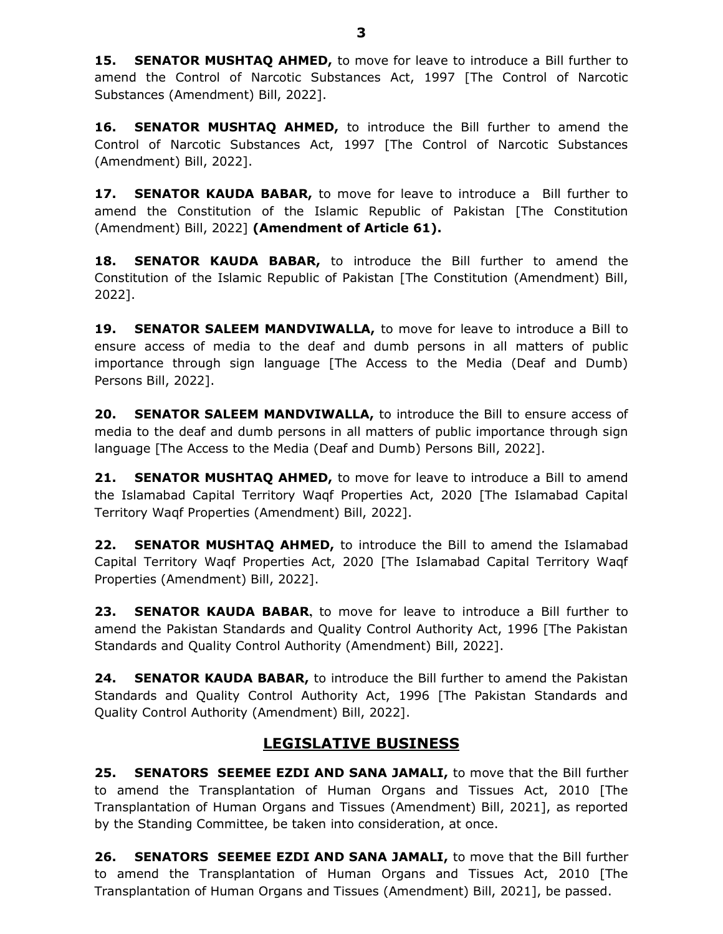**15. SENATOR MUSHTAQ AHMED,** to move for leave to introduce a Bill further to amend the Control of Narcotic Substances Act, 1997 [The Control of Narcotic Substances (Amendment) Bill, 2022].

16. SENATOR MUSHTAQ AHMED, to introduce the Bill further to amend the Control of Narcotic Substances Act, 1997 [The Control of Narcotic Substances (Amendment) Bill, 2022].

17. SENATOR KAUDA BABAR, to move for leave to introduce a Bill further to amend the Constitution of the Islamic Republic of Pakistan [The Constitution (Amendment) Bill, 2022] (Amendment of Article 61).

18. SENATOR KAUDA BABAR, to introduce the Bill further to amend the Constitution of the Islamic Republic of Pakistan [The Constitution (Amendment) Bill, 2022].

19. SENATOR SALEEM MANDVIWALLA, to move for leave to introduce a Bill to ensure access of media to the deaf and dumb persons in all matters of public importance through sign language [The Access to the Media (Deaf and Dumb) Persons Bill, 2022].

20. SENATOR SALEEM MANDVIWALLA, to introduce the Bill to ensure access of media to the deaf and dumb persons in all matters of public importance through sign language [The Access to the Media (Deaf and Dumb) Persons Bill, 2022].

**21. SENATOR MUSHTAQ AHMED,** to move for leave to introduce a Bill to amend the Islamabad Capital Territory Waqf Properties Act, 2020 [The Islamabad Capital Territory Waqf Properties (Amendment) Bill, 2022].

22. SENATOR MUSHTAQ AHMED, to introduce the Bill to amend the Islamabad Capital Territory Waqf Properties Act, 2020 [The Islamabad Capital Territory Waqf Properties (Amendment) Bill, 2022].

23. **SENATOR KAUDA BABAR**, to move for leave to introduce a Bill further to amend the Pakistan Standards and Quality Control Authority Act, 1996 [The Pakistan Standards and Quality Control Authority (Amendment) Bill, 2022].

24. SENATOR KAUDA BABAR, to introduce the Bill further to amend the Pakistan Standards and Quality Control Authority Act, 1996 [The Pakistan Standards and Quality Control Authority (Amendment) Bill, 2022].

### LEGISLATIVE BUSINESS

25. SENATORS SEEMEE EZDI AND SANA JAMALI, to move that the Bill further to amend the Transplantation of Human Organs and Tissues Act, 2010 [The Transplantation of Human Organs and Tissues (Amendment) Bill, 2021], as reported by the Standing Committee, be taken into consideration, at once.

26. SENATORS SEEMEE EZDI AND SANA JAMALI, to move that the Bill further to amend the Transplantation of Human Organs and Tissues Act, 2010 [The Transplantation of Human Organs and Tissues (Amendment) Bill, 2021], be passed.